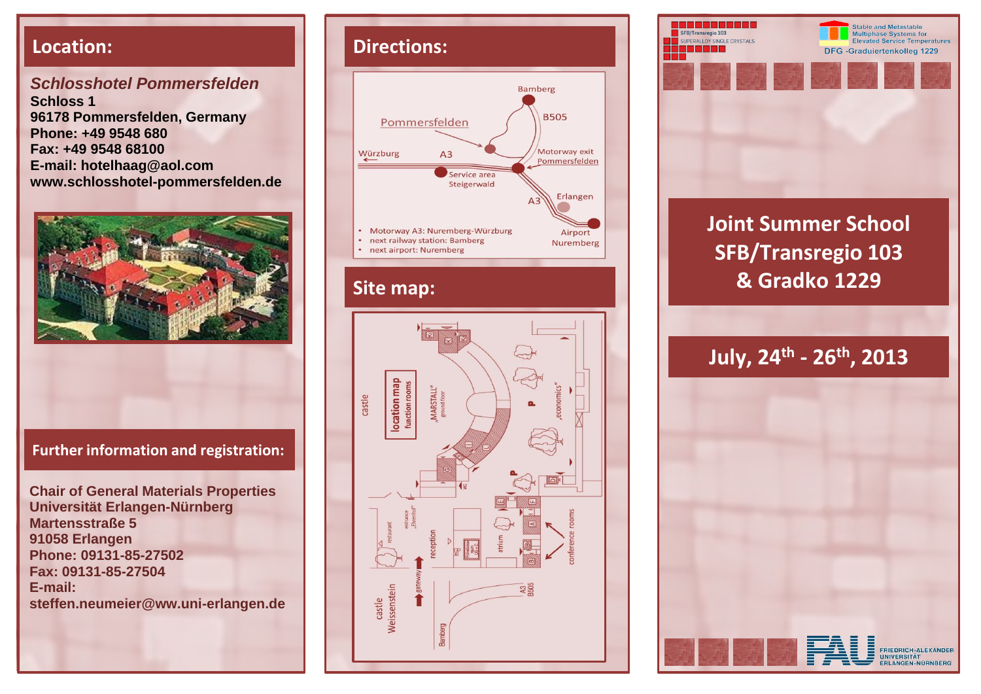*Schlosshotel Pommersfelden* **Schloss 1 96178 Pommersfelden, Germany Phone: +49 9548 680 Fax: +49 9548 68100 E-mail: hotelhaag@aol.com www.schlosshotel-pommersfelden.de**



#### **Further information and registration:**

**Chair of General Materials Properties Universität Erlangen-Nürnberg Martensstraße 5 91058 Erlangen Phone: 09131-85-27502 Fax: 09131-85-27504 E-mail: steffen.neumeier@ww.uni-erlangen.de** 

## **Location: Directions:**



### **Site map:**





# **Joint Summer School SFB/Transregio 103 & Gradko 1229**

## **July, 24th - 26th, 2013**